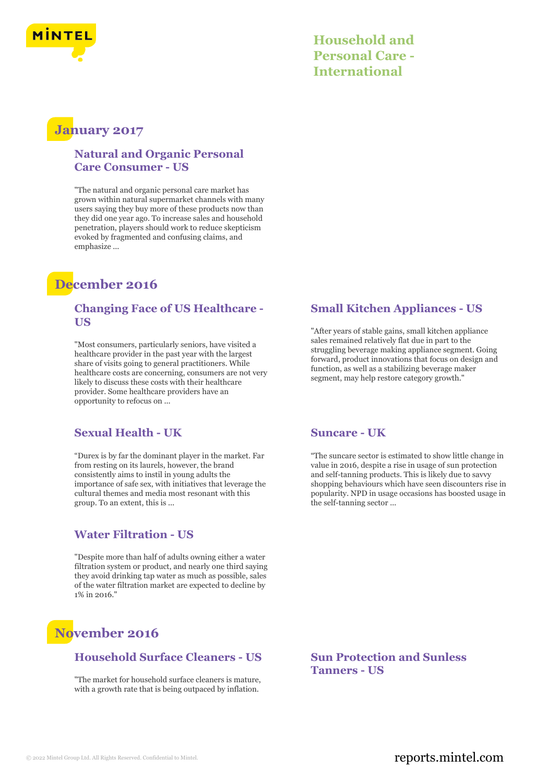

# **January 2017**

## **Natural and Organic Personal Care Consumer - US**

"The natural and organic personal care market has grown within natural supermarket channels with many users saying they buy more of these products now than they did one year ago. To increase sales and household penetration, players should work to reduce skepticism evoked by fragmented and confusing claims, and emphasize ...

# **December 2016**

### **Changing Face of US Healthcare - US**

"Most consumers, particularly seniors, have visited a healthcare provider in the past year with the largest share of visits going to general practitioners. While healthcare costs are concerning, consumers are not very likely to discuss these costs with their healthcare provider. Some healthcare providers have an opportunity to refocus on ...

## **Sexual Health - UK**

"Durex is by far the dominant player in the market. Far from resting on its laurels, however, the brand consistently aims to instil in young adults the importance of safe sex, with initiatives that leverage the cultural themes and media most resonant with this group. To an extent, this is ...

## **Water Filtration - US**

"Despite more than half of adults owning either a water filtration system or product, and nearly one third saying they avoid drinking tap water as much as possible, sales of the water filtration market are expected to decline by 1% in 2016."

# **November 2016**

### **Household Surface Cleaners - US**

"The market for household surface cleaners is mature, with a growth rate that is being outpaced by inflation.

## **Small Kitchen Appliances - US**

"After years of stable gains, small kitchen appliance sales remained relatively flat due in part to the struggling beverage making appliance segment. Going forward, product innovations that focus on design and function, as well as a stabilizing beverage maker segment, may help restore category growth."

### **Suncare - UK**

"The suncare sector is estimated to show little change in value in 2016, despite a rise in usage of sun protection and self-tanning products. This is likely due to savvy shopping behaviours which have seen discounters rise in popularity. NPD in usage occasions has boosted usage in the self-tanning sector ...

**Sun Protection and Sunless Tanners - US**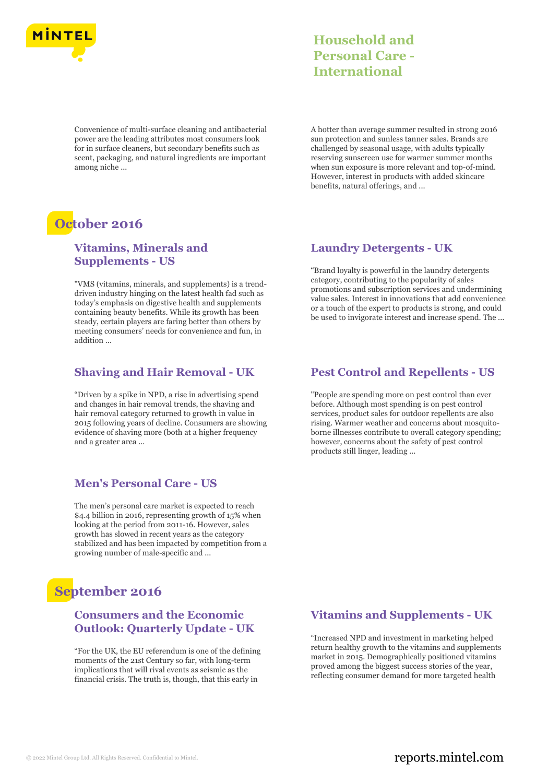

Convenience of multi-surface cleaning and antibacterial power are the leading attributes most consumers look for in surface cleaners, but secondary benefits such as scent, packaging, and natural ingredients are important among niche ...

# **October 2016**

### **Vitamins, Minerals and Supplements - US**

"VMS (vitamins, minerals, and supplements) is a trenddriven industry hinging on the latest health fad such as today's emphasis on digestive health and supplements containing beauty benefits. While its growth has been steady, certain players are faring better than others by meeting consumers' needs for convenience and fun, in addition ...

### **Shaving and Hair Removal - UK**

"Driven by a spike in NPD, a rise in advertising spend and changes in hair removal trends, the shaving and hair removal category returned to growth in value in 2015 following years of decline. Consumers are showing evidence of shaving more (both at a higher frequency and a greater area ...

### **Men's Personal Care - US**

The men's personal care market is expected to reach \$4.4 billion in 2016, representing growth of 15% when looking at the period from 2011-16. However, sales growth has slowed in recent years as the category stabilized and has been impacted by competition from a growing number of male-specific and ...

## **September 2016**

### **Consumers and the Economic Outlook: Quarterly Update - UK**

"For the UK, the EU referendum is one of the defining moments of the 21st Century so far, with long-term implications that will rival events as seismic as the financial crisis. The truth is, though, that this early in

**Household and Personal Care - International**

A hotter than average summer resulted in strong 2016 sun protection and sunless tanner sales. Brands are challenged by seasonal usage, with adults typically reserving sunscreen use for warmer summer months when sun exposure is more relevant and top-of-mind. However, interest in products with added skincare benefits, natural offerings, and ...

#### **Laundry Detergents - UK**

"Brand loyalty is powerful in the laundry detergents category, contributing to the popularity of sales promotions and subscription services and undermining value sales. Interest in innovations that add convenience or a touch of the expert to products is strong, and could be used to invigorate interest and increase spend. The ...

#### **Pest Control and Repellents - US**

"People are spending more on pest control than ever before. Although most spending is on pest control services, product sales for outdoor repellents are also rising. Warmer weather and concerns about mosquitoborne illnesses contribute to overall category spending; however, concerns about the safety of pest control products still linger, leading ...

### **Vitamins and Supplements - UK**

"Increased NPD and investment in marketing helped return healthy growth to the vitamins and supplements market in 2015. Demographically positioned vitamins proved among the biggest success stories of the year, reflecting consumer demand for more targeted health

## © 2022 Mintel Group Ltd. All Rights Reserved. Confidential to Mintel.  $\blacksquare$  reports.mintel.com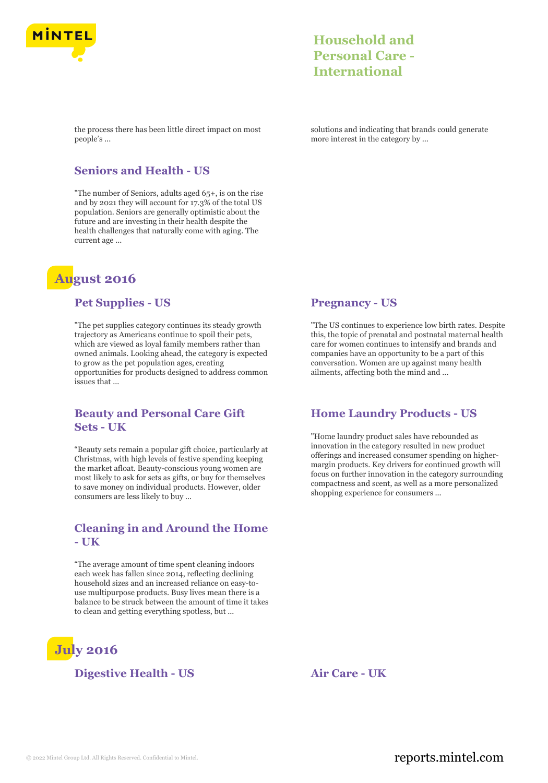

the process there has been little direct impact on most people's ...

solutions and indicating that brands could generate more interest in the category by ...

### **Seniors and Health - US**

"The number of Seniors, adults aged 65+, is on the rise and by 2021 they will account for 17.3% of the total US population. Seniors are generally optimistic about the future and are investing in their health despite the health challenges that naturally come with aging. The current age ...

# **August 2016**

#### **Pet Supplies - US**

"The pet supplies category continues its steady growth trajectory as Americans continue to spoil their pets, which are viewed as loyal family members rather than owned animals. Looking ahead, the category is expected to grow as the pet population ages, creating opportunities for products designed to address common issues that ...

### **Beauty and Personal Care Gift Sets - UK**

"Beauty sets remain a popular gift choice, particularly at Christmas, with high levels of festive spending keeping the market afloat. Beauty-conscious young women are most likely to ask for sets as gifts, or buy for themselves to save money on individual products. However, older consumers are less likely to buy ...

#### **Cleaning in and Around the Home - UK**

"The average amount of time spent cleaning indoors each week has fallen since 2014, reflecting declining household sizes and an increased reliance on easy-touse multipurpose products. Busy lives mean there is a balance to be struck between the amount of time it takes to clean and getting everything spotless, but ...



### **Digestive Health - US Air Care - UK**

**Pregnancy - US**

"The US continues to experience low birth rates. Despite this, the topic of prenatal and postnatal maternal health care for women continues to intensify and brands and companies have an opportunity to be a part of this conversation. Women are up against many health ailments, affecting both the mind and ...

### **Home Laundry Products - US**

"Home laundry product sales have rebounded as innovation in the category resulted in new product offerings and increased consumer spending on highermargin products. Key drivers for continued growth will focus on further innovation in the category surrounding compactness and scent, as well as a more personalized shopping experience for consumers ...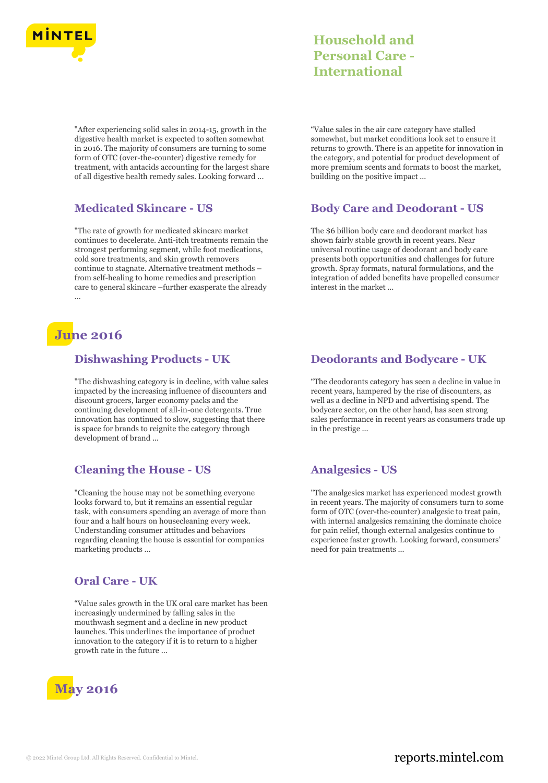

"After experiencing solid sales in 2014-15, growth in the digestive health market is expected to soften somewhat in 2016. The majority of consumers are turning to some form of OTC (over-the-counter) digestive remedy for treatment, with antacids accounting for the largest share of all digestive health remedy sales. Looking forward ...

## **Medicated Skincare - US**

"The rate of growth for medicated skincare market continues to decelerate. Anti-itch treatments remain the strongest performing segment, while foot medications, cold sore treatments, and skin growth removers continue to stagnate. Alternative treatment methods – from self-healing to home remedies and prescription care to general skincare –further exasperate the already ...

## **June 2016**

### **Dishwashing Products - UK**

"The dishwashing category is in decline, with value sales impacted by the increasing influence of discounters and discount grocers, larger economy packs and the continuing development of all-in-one detergents. True innovation has continued to slow, suggesting that there is space for brands to reignite the category through development of brand ...

## **Cleaning the House - US**

"Cleaning the house may not be something everyone looks forward to, but it remains an essential regular task, with consumers spending an average of more than four and a half hours on housecleaning every week. Understanding consumer attitudes and behaviors regarding cleaning the house is essential for companies marketing products ...

## **Oral Care - UK**

"Value sales growth in the UK oral care market has been increasingly undermined by falling sales in the mouthwash segment and a decline in new product launches. This underlines the importance of product innovation to the category if it is to return to a higher growth rate in the future ...



"Value sales in the air care category have stalled somewhat, but market conditions look set to ensure it returns to growth. There is an appetite for innovation in the category, and potential for product development of more premium scents and formats to boost the market, building on the positive impact ...

### **Body Care and Deodorant - US**

The \$6 billion body care and deodorant market has shown fairly stable growth in recent years. Near universal routine usage of deodorant and body care presents both opportunities and challenges for future growth. Spray formats, natural formulations, and the integration of added benefits have propelled consumer interest in the market ...

## **Deodorants and Bodycare - UK**

"The deodorants category has seen a decline in value in recent years, hampered by the rise of discounters, as well as a decline in NPD and advertising spend. The bodycare sector, on the other hand, has seen strong sales performance in recent years as consumers trade up in the prestige ...

## **Analgesics - US**

"The analgesics market has experienced modest growth in recent years. The majority of consumers turn to some form of OTC (over-the-counter) analgesic to treat pain, with internal analgesics remaining the dominate choice for pain relief, though external analgesics continue to experience faster growth. Looking forward, consumers' need for pain treatments ...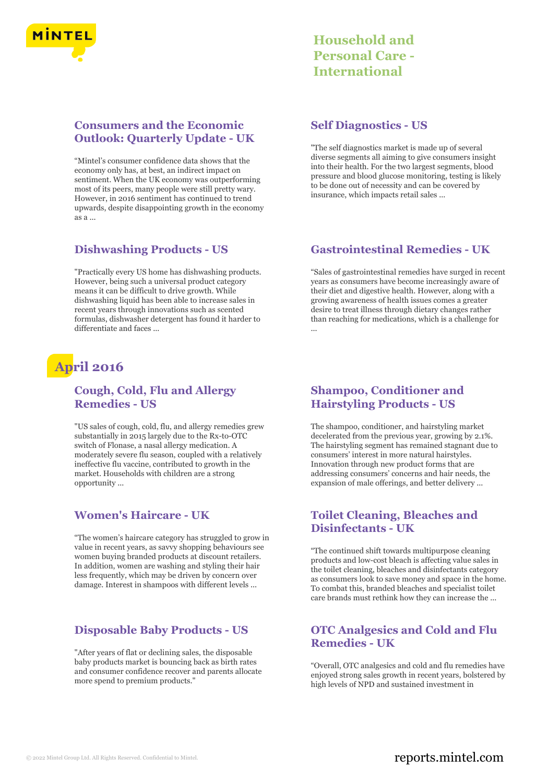

## **Consumers and the Economic Outlook: Quarterly Update - UK**

"Mintel's consumer confidence data shows that the economy only has, at best, an indirect impact on sentiment. When the UK economy was outperforming most of its peers, many people were still pretty wary. However, in 2016 sentiment has continued to trend upwards, despite disappointing growth in the economy as a ...

### **Dishwashing Products - US**

"Practically every US home has dishwashing products. However, being such a universal product category means it can be difficult to drive growth. While dishwashing liquid has been able to increase sales in recent years through innovations such as scented formulas, dishwasher detergent has found it harder to differentiate and faces ...

## **April 2016**

### **Cough, Cold, Flu and Allergy Remedies - US**

"US sales of cough, cold, flu, and allergy remedies grew substantially in 2015 largely due to the Rx-to-OTC switch of Flonase, a nasal allergy medication. A moderately severe flu season, coupled with a relatively ineffective flu vaccine, contributed to growth in the market. Households with children are a strong opportunity ...

## **Women's Haircare - UK**

"The women's haircare category has struggled to grow in value in recent years, as savvy shopping behaviours see women buying branded products at discount retailers. In addition, women are washing and styling their hair less frequently, which may be driven by concern over damage. Interest in shampoos with different levels ...

## **Disposable Baby Products - US**

"After years of flat or declining sales, the disposable baby products market is bouncing back as birth rates and consumer confidence recover and parents allocate more spend to premium products."

#### **Self Diagnostics - US**

"The self diagnostics market is made up of several diverse segments all aiming to give consumers insight into their health. For the two largest segments, blood pressure and blood glucose monitoring, testing is likely to be done out of necessity and can be covered by insurance, which impacts retail sales ...

#### **Gastrointestinal Remedies - UK**

"Sales of gastrointestinal remedies have surged in recent years as consumers have become increasingly aware of their diet and digestive health. However, along with a growing awareness of health issues comes a greater desire to treat illness through dietary changes rather than reaching for medications, which is a challenge for ...

### **Shampoo, Conditioner and Hairstyling Products - US**

The shampoo, conditioner, and hairstyling market decelerated from the previous year, growing by 2.1%. The hairstyling segment has remained stagnant due to consumers' interest in more natural hairstyles. Innovation through new product forms that are addressing consumers' concerns and hair needs, the expansion of male offerings, and better delivery ...

## **Toilet Cleaning, Bleaches and Disinfectants - UK**

"The continued shift towards multipurpose cleaning products and low-cost bleach is affecting value sales in the toilet cleaning, bleaches and disinfectants category as consumers look to save money and space in the home. To combat this, branded bleaches and specialist toilet care brands must rethink how they can increase the ...

### **OTC Analgesics and Cold and Flu Remedies - UK**

"Overall, OTC analgesics and cold and flu remedies have enjoyed strong sales growth in recent years, bolstered by high levels of NPD and sustained investment in

## © 2022 Mintel Group Ltd. All Rights Reserved. Confidential to Mintel.  $\blacksquare$  reports.mintel.com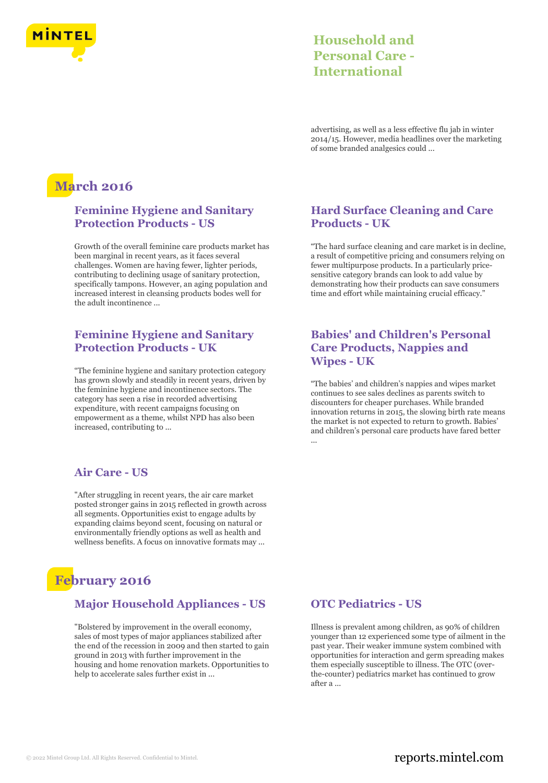

advertising, as well as a less effective flu jab in winter 2014/15. However, media headlines over the marketing of some branded analgesics could ...

# **March 2016**

## **Feminine Hygiene and Sanitary Protection Products - US**

Growth of the overall feminine care products market has been marginal in recent years, as it faces several challenges. Women are having fewer, lighter periods, contributing to declining usage of sanitary protection, specifically tampons. However, an aging population and increased interest in cleansing products bodes well for the adult incontinence ...

## **Feminine Hygiene and Sanitary Protection Products - UK**

"The feminine hygiene and sanitary protection category has grown slowly and steadily in recent years, driven by the feminine hygiene and incontinence sectors. The category has seen a rise in recorded advertising expenditure, with recent campaigns focusing on empowerment as a theme, whilst NPD has also been increased, contributing to ...

## **Air Care - US**

"After struggling in recent years, the air care market posted stronger gains in 2015 reflected in growth across all segments. Opportunities exist to engage adults by expanding claims beyond scent, focusing on natural or environmentally friendly options as well as health and wellness benefits. A focus on innovative formats may ...

# **February 2016**

### **Major Household Appliances - US**

"Bolstered by improvement in the overall economy, sales of most types of major appliances stabilized after the end of the recession in 2009 and then started to gain ground in 2013 with further improvement in the housing and home renovation markets. Opportunities to help to accelerate sales further exist in ...

### **Hard Surface Cleaning and Care Products - UK**

"The hard surface cleaning and care market is in decline, a result of competitive pricing and consumers relying on fewer multipurpose products. In a particularly pricesensitive category brands can look to add value by demonstrating how their products can save consumers time and effort while maintaining crucial efficacy."

## **Babies' and Children's Personal Care Products, Nappies and Wipes - UK**

"The babies' and children's nappies and wipes market continues to see sales declines as parents switch to discounters for cheaper purchases. While branded innovation returns in 2015, the slowing birth rate means the market is not expected to return to growth. Babies' and children's personal care products have fared better ...

## **OTC Pediatrics - US**

Illness is prevalent among children, as 90% of children younger than 12 experienced some type of ailment in the past year. Their weaker immune system combined with opportunities for interaction and germ spreading makes them especially susceptible to illness. The OTC (overthe-counter) pediatrics market has continued to grow after a ...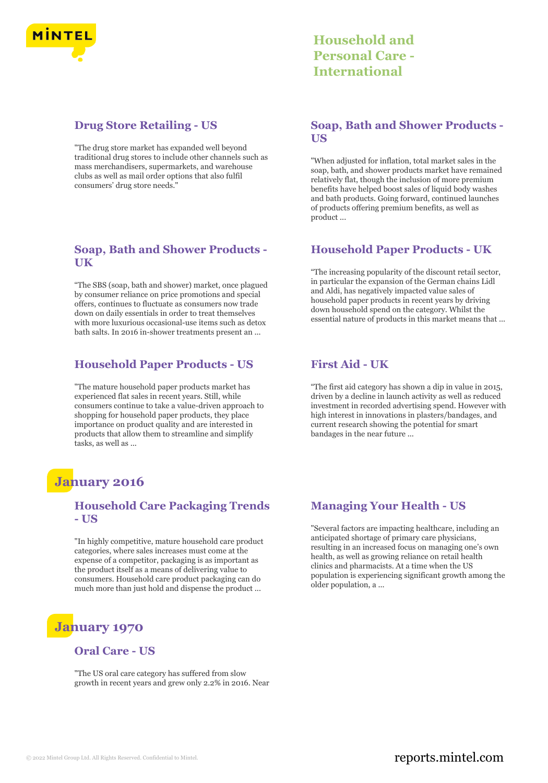

### **Drug Store Retailing - US**

"The drug store market has expanded well beyond traditional drug stores to include other channels such as mass merchandisers, supermarkets, and warehouse clubs as well as mail order options that also fulfil consumers' drug store needs."

### **Soap, Bath and Shower Products - UK**

"The SBS (soap, bath and shower) market, once plagued by consumer reliance on price promotions and special offers, continues to fluctuate as consumers now trade down on daily essentials in order to treat themselves with more luxurious occasional-use items such as detox bath salts. In 2016 in-shower treatments present an ...

#### **Household Paper Products - US**

"The mature household paper products market has experienced flat sales in recent years. Still, while consumers continue to take a value-driven approach to shopping for household paper products, they place importance on product quality and are interested in products that allow them to streamline and simplify tasks, as well as ...

## **January 2016**

### **Household Care Packaging Trends - US**

"In highly competitive, mature household care product categories, where sales increases must come at the expense of a competitor, packaging is as important as the product itself as a means of delivering value to consumers. Household care product packaging can do much more than just hold and dispense the product ...

# **January 1970**

### **Oral Care - US**

"The US oral care category has suffered from slow growth in recent years and grew only 2.2% in 2016. Near

## **Household and Personal Care - International**

### **Soap, Bath and Shower Products - US**

"When adjusted for inflation, total market sales in the soap, bath, and shower products market have remained relatively flat, though the inclusion of more premium benefits have helped boost sales of liquid body washes and bath products. Going forward, continued launches of products offering premium benefits, as well as product ...

#### **Household Paper Products - UK**

"The increasing popularity of the discount retail sector, in particular the expansion of the German chains Lidl and Aldi, has negatively impacted value sales of household paper products in recent years by driving down household spend on the category. Whilst the essential nature of products in this market means that ...

### **First Aid - UK**

"The first aid category has shown a dip in value in 2015, driven by a decline in launch activity as well as reduced investment in recorded advertising spend. However with high interest in innovations in plasters/bandages, and current research showing the potential for smart bandages in the near future ...

## **Managing Your Health - US**

"Several factors are impacting healthcare, including an anticipated shortage of primary care physicians, resulting in an increased focus on managing one's own health, as well as growing reliance on retail health clinics and pharmacists. At a time when the US population is experiencing significant growth among the older population, a ...